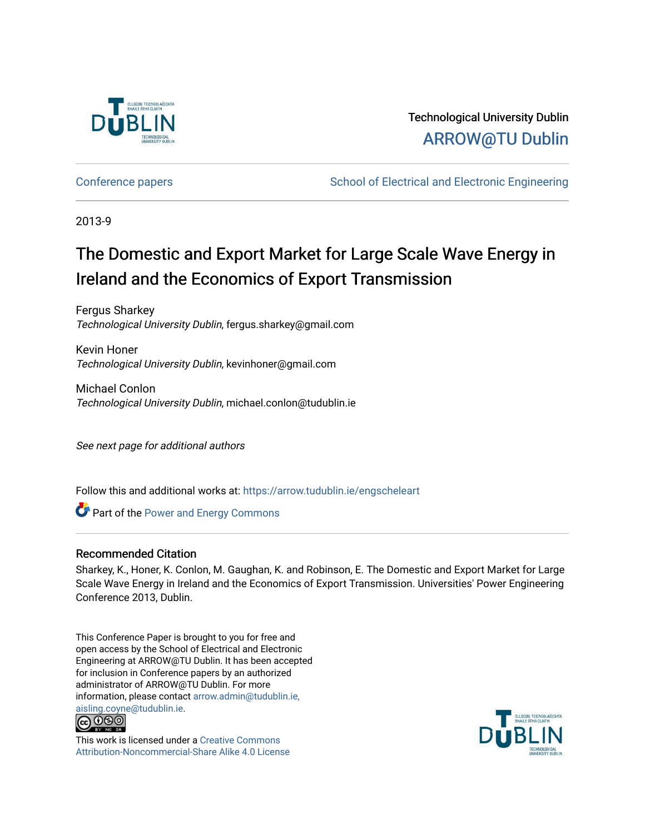

Technological University Dublin [ARROW@TU Dublin](https://arrow.tudublin.ie/) 

[Conference papers](https://arrow.tudublin.ie/engscheleart) **School of Electrical and Electronic Engineering** 

2013-9

## The Domestic and Export Market for Large Scale Wave Energy in Ireland and the Economics of Export Transmission

Fergus Sharkey Technological University Dublin, fergus.sharkey@gmail.com

Kevin Honer Technological University Dublin, kevinhoner@gmail.com

Michael Conlon Technological University Dublin, michael.conlon@tudublin.ie

See next page for additional authors

Follow this and additional works at: [https://arrow.tudublin.ie/engscheleart](https://arrow.tudublin.ie/engscheleart?utm_source=arrow.tudublin.ie%2Fengscheleart%2F207&utm_medium=PDF&utm_campaign=PDFCoverPages) 

**Part of the Power and Energy Commons** 

#### Recommended Citation

Sharkey, K., Honer, K. Conlon, M. Gaughan, K. and Robinson, E. The Domestic and Export Market for Large Scale Wave Energy in Ireland and the Economics of Export Transmission. Universities' Power Engineering Conference 2013, Dublin.

This Conference Paper is brought to you for free and open access by the School of Electrical and Electronic Engineering at ARROW@TU Dublin. It has been accepted for inclusion in Conference papers by an authorized administrator of ARROW@TU Dublin. For more information, please contact [arrow.admin@tudublin.ie,](mailto:arrow.admin@tudublin.ie,%20aisling.coyne@tudublin.ie)  [aisling.coyne@tudublin.ie.](mailto:arrow.admin@tudublin.ie,%20aisling.coyne@tudublin.ie)<br>© 090



This work is licensed under a [Creative Commons](http://creativecommons.org/licenses/by-nc-sa/4.0/) [Attribution-Noncommercial-Share Alike 4.0 License](http://creativecommons.org/licenses/by-nc-sa/4.0/)

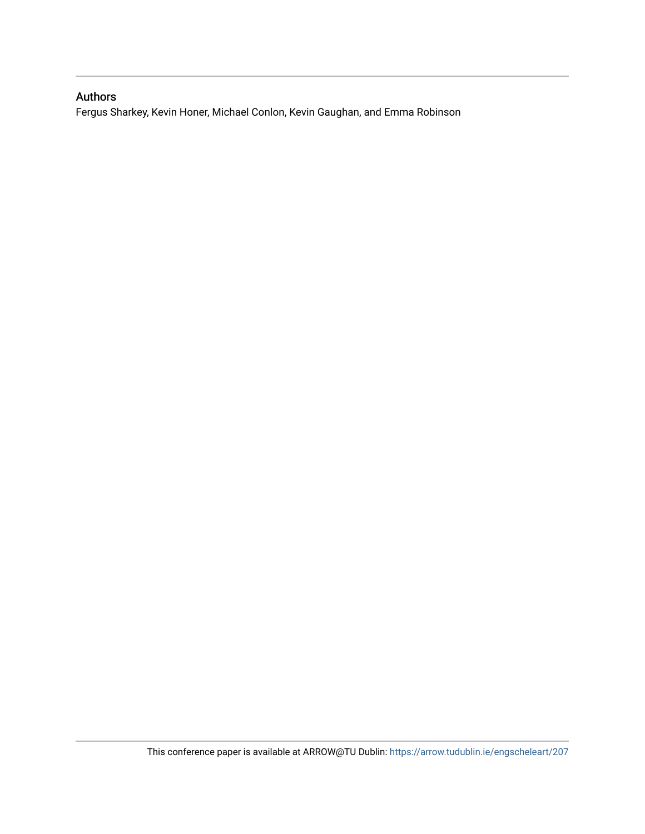### Authors

Fergus Sharkey, Kevin Honer, Michael Conlon, Kevin Gaughan, and Emma Robinson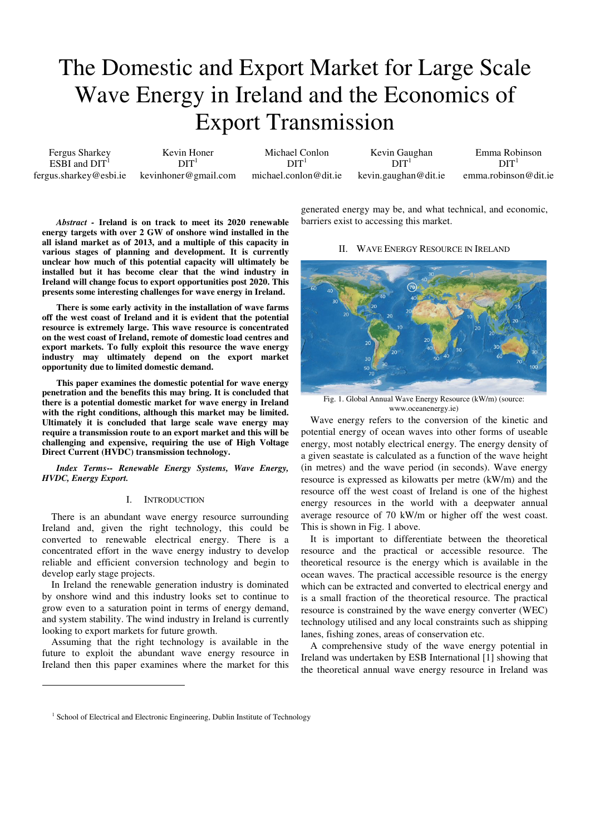# The Domestic and Export Market for Large Scale Wave Energy in Ireland and the Economics of Export Transmission

Fergus Sharkey  $ESBI$  and  $DIT<sup>1</sup>$ fergus.sharkey@esbi.ie

Kevin Honer  $DT<sup>1</sup>$ kevinhoner@gmail.com

Michael Conlon  $DT<sup>1</sup>$ michael.conlon@dit.ie

Kevin Gaughan  $DT<sup>1</sup>$ kevin.gaughan@dit.ie

Emma Robinson  $DT<sup>1</sup>$ emma.robinson@dit.ie

*Abstract -* **Ireland is on track to meet its 2020 renewable energy targets with over 2 GW of onshore wind installed in the all island market as of 2013, and a multiple of this capacity in various stages of planning and development. It is currently unclear how much of this potential capacity will ultimately be installed but it has become clear that the wind industry in Ireland will change focus to export opportunities post 2020. This presents some interesting challenges for wave energy in Ireland.** 

**There is some early activity in the installation of wave farms off the west coast of Ireland and it is evident that the potential resource is extremely large. This wave resource is concentrated on the west coast of Ireland, remote of domestic load centres and export markets. To fully exploit this resource the wave energy industry may ultimately depend on the export market opportunity due to limited domestic demand.** 

**This paper examines the domestic potential for wave energy penetration and the benefits this may bring. It is concluded that there is a potential domestic market for wave energy in Ireland with the right conditions, although this market may be limited. Ultimately it is concluded that large scale wave energy may require a transmission route to an export market and this will be challenging and expensive, requiring the use of High Voltage Direct Current (HVDC) transmission technology.** 

#### *Index Terms***--** *Renewable Energy Systems, Wave Energy, HVDC, Energy Export.*

#### I. INTRODUCTION

There is an abundant wave energy resource surrounding Ireland and, given the right technology, this could be converted to renewable electrical energy. There is a concentrated effort in the wave energy industry to develop reliable and efficient conversion technology and begin to develop early stage projects.

In Ireland the renewable generation industry is dominated by onshore wind and this industry looks set to continue to grow even to a saturation point in terms of energy demand, and system stability. The wind industry in Ireland is currently looking to export markets for future growth.

Assuming that the right technology is available in the future to exploit the abundant wave energy resource in Ireland then this paper examines where the market for this

 $\overline{a}$ 

barriers exist to accessing this market. II. WAVE ENERGY RESOURCE IN IRELAND

generated energy may be, and what technical, and economic,



Fig. 1. Global Annual Wave Energy Resource (kW/m) (source: www.oceanenergy.ie)

Wave energy refers to the conversion of the kinetic and potential energy of ocean waves into other forms of useable energy, most notably electrical energy. The energy density of a given seastate is calculated as a function of the wave height (in metres) and the wave period (in seconds). Wave energy resource is expressed as kilowatts per metre (kW/m) and the resource off the west coast of Ireland is one of the highest energy resources in the world with a deepwater annual average resource of 70 kW/m or higher off the west coast. This is shown in Fig. 1 above.

It is important to differentiate between the theoretical resource and the practical or accessible resource. The theoretical resource is the energy which is available in the ocean waves. The practical accessible resource is the energy which can be extracted and converted to electrical energy and is a small fraction of the theoretical resource. The practical resource is constrained by the wave energy converter (WEC) technology utilised and any local constraints such as shipping lanes, fishing zones, areas of conservation etc.

A comprehensive study of the wave energy potential in Ireland was undertaken by ESB International [1] showing that the theoretical annual wave energy resource in Ireland was

<sup>&</sup>lt;sup>1</sup> School of Electrical and Electronic Engineering, Dublin Institute of Technology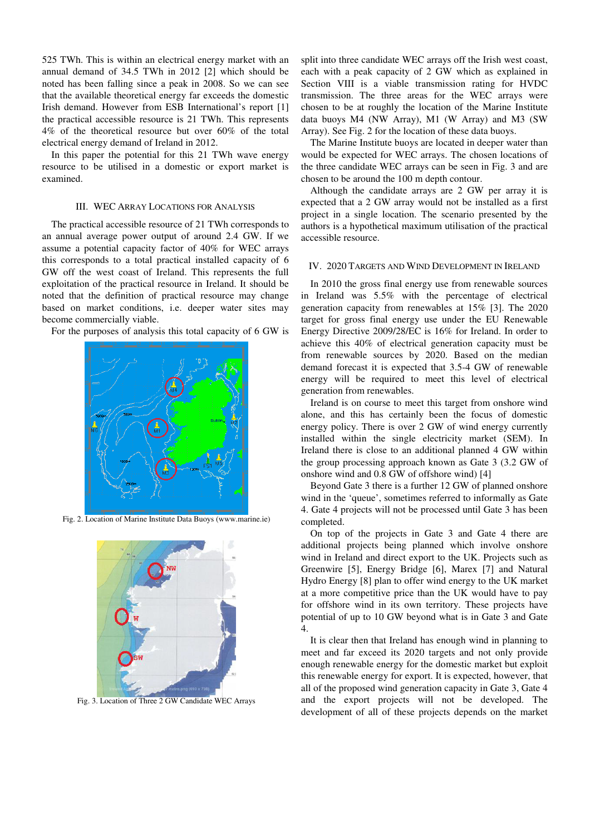525 TWh. This is within an electrical energy market with an annual demand of 34.5 TWh in 2012 [2] which should be noted has been falling since a peak in 2008. So we can see that the available theoretical energy far exceeds the domestic Irish demand. However from ESB International's report [1] the practical accessible resource is 21 TWh. This represents 4% of the theoretical resource but over 60% of the total electrical energy demand of Ireland in 2012.

In this paper the potential for this 21 TWh wave energy resource to be utilised in a domestic or export market is examined.

#### III. WEC ARRAY LOCATIONS FOR ANALYSIS

The practical accessible resource of 21 TWh corresponds to an annual average power output of around 2.4 GW. If we assume a potential capacity factor of 40% for WEC arrays this corresponds to a total practical installed capacity of 6 GW off the west coast of Ireland. This represents the full exploitation of the practical resource in Ireland. It should be noted that the definition of practical resource may change based on market conditions, i.e. deeper water sites may become commercially viable.

For the purposes of analysis this total capacity of 6 GW is



Fig. 2. Location of Marine Institute Data Buoys (www.marine.ie)



Fig. 3. Location of Three 2 GW Candidate WEC Arrays

split into three candidate WEC arrays off the Irish west coast, each with a peak capacity of 2 GW which as explained in Section VIII is a viable transmission rating for HVDC transmission. The three areas for the WEC arrays were chosen to be at roughly the location of the Marine Institute data buoys M4 (NW Array), M1 (W Array) and M3 (SW Array). See Fig. 2 for the location of these data buoys.

The Marine Institute buoys are located in deeper water than would be expected for WEC arrays. The chosen locations of the three candidate WEC arrays can be seen in Fig. 3 and are chosen to be around the 100 m depth contour.

Although the candidate arrays are 2 GW per array it is expected that a 2 GW array would not be installed as a first project in a single location. The scenario presented by the authors is a hypothetical maximum utilisation of the practical accessible resource.

#### IV. 2020 TARGETS AND WIND DEVELOPMENT IN IRELAND

In 2010 the gross final energy use from renewable sources in Ireland was 5.5% with the percentage of electrical generation capacity from renewables at 15% [3]. The 2020 target for gross final energy use under the EU Renewable Energy Directive 2009/28/EC is 16% for Ireland. In order to achieve this 40% of electrical generation capacity must be from renewable sources by 2020. Based on the median demand forecast it is expected that 3.5-4 GW of renewable energy will be required to meet this level of electrical generation from renewables.

Ireland is on course to meet this target from onshore wind alone, and this has certainly been the focus of domestic energy policy. There is over 2 GW of wind energy currently installed within the single electricity market (SEM). In Ireland there is close to an additional planned 4 GW within the group processing approach known as Gate 3 (3.2 GW of onshore wind and 0.8 GW of offshore wind) [4]

Beyond Gate 3 there is a further 12 GW of planned onshore wind in the 'queue', sometimes referred to informally as Gate 4. Gate 4 projects will not be processed until Gate 3 has been completed.

On top of the projects in Gate 3 and Gate 4 there are additional projects being planned which involve onshore wind in Ireland and direct export to the UK. Projects such as Greenwire [5], Energy Bridge [6], Marex [7] and Natural Hydro Energy [8] plan to offer wind energy to the UK market at a more competitive price than the UK would have to pay for offshore wind in its own territory. These projects have potential of up to 10 GW beyond what is in Gate 3 and Gate 4.

It is clear then that Ireland has enough wind in planning to meet and far exceed its 2020 targets and not only provide enough renewable energy for the domestic market but exploit this renewable energy for export. It is expected, however, that all of the proposed wind generation capacity in Gate 3, Gate 4 and the export projects will not be developed. The development of all of these projects depends on the market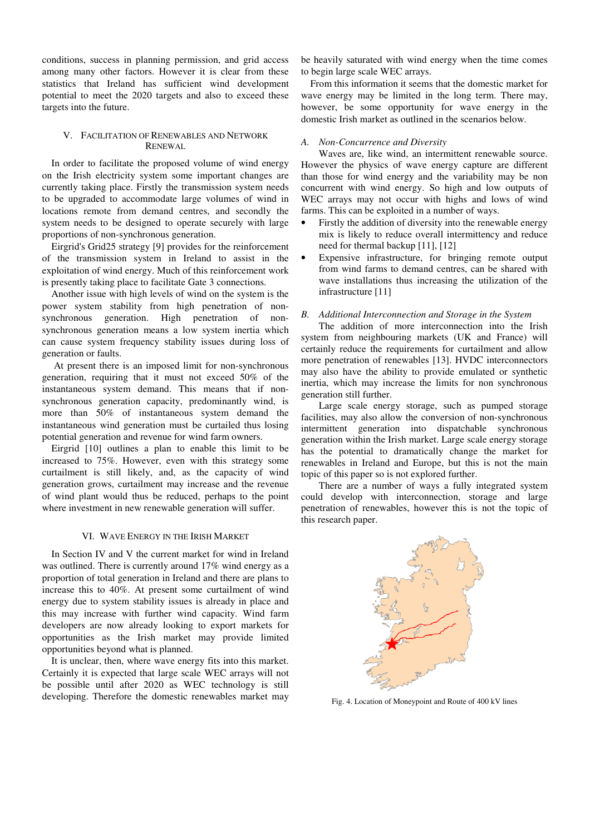conditions, success in planning permission, and grid access among many other factors. However it is clear from these statistics that Ireland has sufficient wind development potential to meet the 2020 targets and also to exceed these targets into the future.

#### V. FACILITATION OF RENEWABLES AND NETWORK RENEWAL

In order to facilitate the proposed volume of wind energy on the Irish electricity system some important changes are currently taking place. Firstly the transmission system needs to be upgraded to accommodate large volumes of wind in locations remote from demand centres, and secondly the system needs to be designed to operate securely with large proportions of non-synchronous generation.

Eirgrid's Grid25 strategy [9] provides for the reinforcement of the transmission system in Ireland to assist in the exploitation of wind energy. Much of this reinforcement work is presently taking place to facilitate Gate 3 connections.

Another issue with high levels of wind on the system is the power system stability from high penetration of nonsynchronous generation. High penetration of nonsynchronous generation means a low system inertia which can cause system frequency stability issues during loss of generation or faults.

 At present there is an imposed limit for non-synchronous generation, requiring that it must not exceed 50% of the instantaneous system demand. This means that if nonsynchronous generation capacity, predominantly wind, is more than 50% of instantaneous system demand the instantaneous wind generation must be curtailed thus losing potential generation and revenue for wind farm owners.

Eirgrid [10] outlines a plan to enable this limit to be increased to 75%. However, even with this strategy some curtailment is still likely, and, as the capacity of wind generation grows, curtailment may increase and the revenue of wind plant would thus be reduced, perhaps to the point where investment in new renewable generation will suffer.

#### VI. WAVE ENERGY IN THE IRISH MARKET

In Section IV and V the current market for wind in Ireland was outlined. There is currently around 17% wind energy as a proportion of total generation in Ireland and there are plans to increase this to 40%. At present some curtailment of wind energy due to system stability issues is already in place and this may increase with further wind capacity. Wind farm developers are now already looking to export markets for opportunities as the Irish market may provide limited opportunities beyond what is planned.

It is unclear, then, where wave energy fits into this market. Certainly it is expected that large scale WEC arrays will not be possible until after 2020 as WEC technology is still developing. Therefore the domestic renewables market may be heavily saturated with wind energy when the time comes to begin large scale WEC arrays.

From this information it seems that the domestic market for wave energy may be limited in the long term. There may, however, be some opportunity for wave energy in the domestic Irish market as outlined in the scenarios below.

#### *A. Non-Concurrence and Diversity*

Waves are, like wind, an intermittent renewable source. However the physics of wave energy capture are different than those for wind energy and the variability may be non concurrent with wind energy. So high and low outputs of WEC arrays may not occur with highs and lows of wind farms. This can be exploited in a number of ways.

- Firstly the addition of diversity into the renewable energy mix is likely to reduce overall intermittency and reduce need for thermal backup [11], [12]
- Expensive infrastructure, for bringing remote output from wind farms to demand centres, can be shared with wave installations thus increasing the utilization of the infrastructure [11]

#### *B. Additional Interconnection and Storage in the System*

The addition of more interconnection into the Irish system from neighbouring markets (UK and France) will certainly reduce the requirements for curtailment and allow more penetration of renewables [13]. HVDC interconnectors may also have the ability to provide emulated or synthetic inertia, which may increase the limits for non synchronous generation still further.

Large scale energy storage, such as pumped storage facilities, may also allow the conversion of non-synchronous intermittent generation into dispatchable synchronous generation within the Irish market. Large scale energy storage has the potential to dramatically change the market for renewables in Ireland and Europe, but this is not the main topic of this paper so is not explored further.

There are a number of ways a fully integrated system could develop with interconnection, storage and large penetration of renewables, however this is not the topic of this research paper.



Fig. 4. Location of Moneypoint and Route of 400 kV lines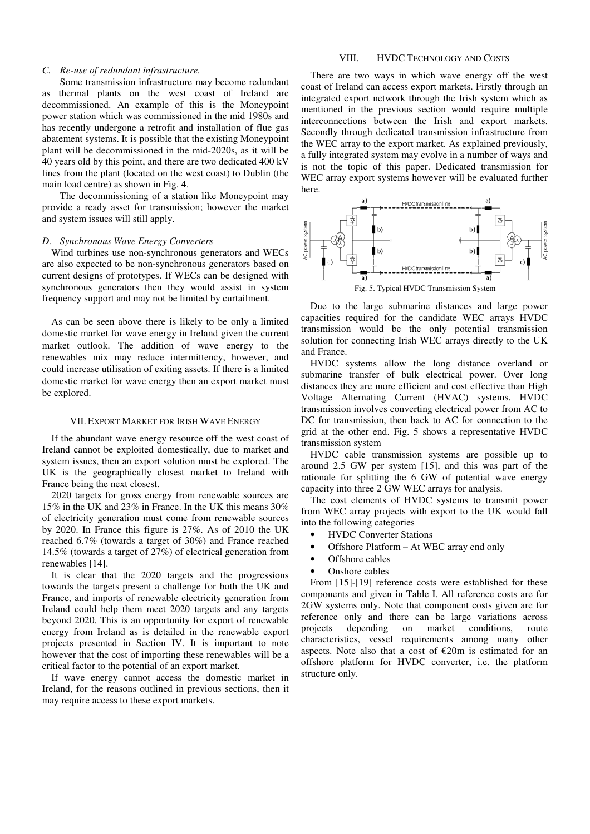#### *C. Re-use of redundant infrastructure.*

Some transmission infrastructure may become redundant as thermal plants on the west coast of Ireland are decommissioned. An example of this is the Moneypoint power station which was commissioned in the mid 1980s and has recently undergone a retrofit and installation of flue gas abatement systems. It is possible that the existing Moneypoint plant will be decommissioned in the mid-2020s, as it will be 40 years old by this point, and there are two dedicated 400 kV lines from the plant (located on the west coast) to Dublin (the main load centre) as shown in Fig. 4.

The decommissioning of a station like Moneypoint may provide a ready asset for transmission; however the market and system issues will still apply.

#### *D. Synchronous Wave Energy Converters*

Wind turbines use non-synchronous generators and WECs are also expected to be non-synchronous generators based on current designs of prototypes. If WECs can be designed with synchronous generators then they would assist in system frequency support and may not be limited by curtailment.

As can be seen above there is likely to be only a limited domestic market for wave energy in Ireland given the current market outlook. The addition of wave energy to the renewables mix may reduce intermittency, however, and could increase utilisation of exiting assets. If there is a limited domestic market for wave energy then an export market must be explored.

#### VII. EXPORT MARKET FOR IRISH WAVE ENERGY

If the abundant wave energy resource off the west coast of Ireland cannot be exploited domestically, due to market and system issues, then an export solution must be explored. The UK is the geographically closest market to Ireland with France being the next closest.

2020 targets for gross energy from renewable sources are 15% in the UK and 23% in France. In the UK this means 30% of electricity generation must come from renewable sources by 2020. In France this figure is 27%. As of 2010 the UK reached 6.7% (towards a target of 30%) and France reached 14.5% (towards a target of 27%) of electrical generation from renewables [14].

It is clear that the 2020 targets and the progressions towards the targets present a challenge for both the UK and France, and imports of renewable electricity generation from Ireland could help them meet 2020 targets and any targets beyond 2020. This is an opportunity for export of renewable energy from Ireland as is detailed in the renewable export projects presented in Section IV. It is important to note however that the cost of importing these renewables will be a critical factor to the potential of an export market.

If wave energy cannot access the domestic market in Ireland, for the reasons outlined in previous sections, then it may require access to these export markets.

#### VIII. HVDC TECHNOLOGY AND COSTS

There are two ways in which wave energy off the west coast of Ireland can access export markets. Firstly through an integrated export network through the Irish system which as mentioned in the previous section would require multiple interconnections between the Irish and export markets. Secondly through dedicated transmission infrastructure from the WEC array to the export market. As explained previously, a fully integrated system may evolve in a number of ways and is not the topic of this paper. Dedicated transmission for WEC array export systems however will be evaluated further here.



Due to the large submarine distances and large power capacities required for the candidate WEC arrays HVDC transmission would be the only potential transmission solution for connecting Irish WEC arrays directly to the UK and France.

HVDC systems allow the long distance overland or submarine transfer of bulk electrical power. Over long distances they are more efficient and cost effective than High Voltage Alternating Current (HVAC) systems. HVDC transmission involves converting electrical power from AC to DC for transmission, then back to AC for connection to the grid at the other end. Fig. 5 shows a representative HVDC transmission system

HVDC cable transmission systems are possible up to around 2.5 GW per system [15], and this was part of the rationale for splitting the 6 GW of potential wave energy capacity into three 2 GW WEC arrays for analysis.

The cost elements of HVDC systems to transmit power from WEC array projects with export to the UK would fall into the following categories

- HVDC Converter Stations
- Offshore Platform At WEC array end only
- Offshore cables
- Onshore cables

From [15]-[19] reference costs were established for these components and given in Table I. All reference costs are for 2GW systems only. Note that component costs given are for reference only and there can be large variations across projects depending on market conditions, route characteristics, vessel requirements among many other aspects. Note also that a cost of  $E20m$  is estimated for an offshore platform for HVDC converter, i.e. the platform structure only.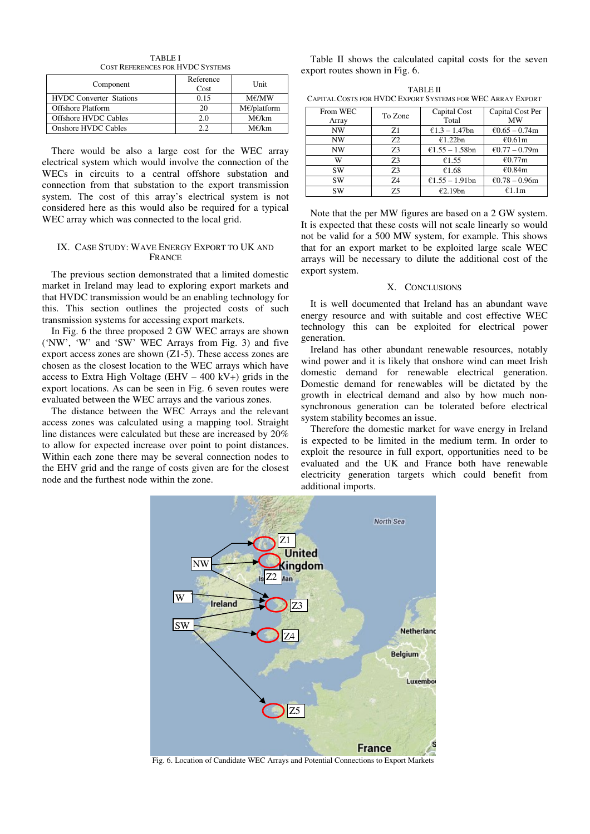TABLE I COST REFERENCES FOR HVDC SYSTEMS

| Component                      | Reference<br>Cost | Unit                  |
|--------------------------------|-------------------|-----------------------|
| <b>HVDC</b> Converter Stations | 0.15              | M€/MW                 |
| <b>Offshore Platform</b>       | 20                | $M\epsilon/b$ latform |
| <b>Offshore HVDC Cables</b>    | 2.0               | M€/km                 |
| Onshore HVDC Cables            | າ າ               | $M\epsilon/km$        |

There would be also a large cost for the WEC array electrical system which would involve the connection of the WECs in circuits to a central offshore substation and connection from that substation to the export transmission system. The cost of this array's electrical system is not considered here as this would also be required for a typical WEC array which was connected to the local grid.

#### IX. CASE STUDY: WAVE ENERGY EXPORT TO UK AND **FRANCE**

The previous section demonstrated that a limited domestic market in Ireland may lead to exploring export markets and that HVDC transmission would be an enabling technology for this. This section outlines the projected costs of such transmission systems for accessing export markets.

In Fig. 6 the three proposed 2 GW WEC arrays are shown ('NW', 'W' and 'SW' WEC Arrays from Fig. 3) and five export access zones are shown (Z1-5). These access zones are chosen as the closest location to the WEC arrays which have access to Extra High Voltage (EHV  $-$  400 kV+) grids in the export locations. As can be seen in Fig. 6 seven routes were evaluated between the WEC arrays and the various zones.

The distance between the WEC Arrays and the relevant access zones was calculated using a mapping tool. Straight line distances were calculated but these are increased by 20% to allow for expected increase over point to point distances. Within each zone there may be several connection nodes to the EHV grid and the range of costs given are for the closest node and the furthest node within the zone.

Table II shows the calculated capital costs for the seven export routes shown in Fig. 6.

| TABLE II                                                   |  |
|------------------------------------------------------------|--|
| Capital Costs for HVDC Export Systems for WEC Array Export |  |

| From WEC<br>Array | To Zone | Capital Cost<br>Total | Capital Cost Per<br>MW |
|-------------------|---------|-----------------------|------------------------|
| <b>NW</b>         | Z1      | €1.3 – 1.47bn         | €0.65 – 0.74m          |
| <b>NW</b>         | Z2      | £1.22bn               | €0.61m                 |
| <b>NW</b>         | 73      | €1.55 - 1.58bn        | €0.77 – 0.79m          |
| W                 | 73      | €1.55                 | €0.77m                 |
| SW                | Z3      | €1.68                 | €0.84m                 |
| SW                | Z4      | €1.55 - 1.91bn        | €0.78 – 0.96m          |
| SW                | 75      | €2.19bn               | €1.1m                  |

Note that the per MW figures are based on a 2 GW system. It is expected that these costs will not scale linearly so would not be valid for a 500 MW system, for example. This shows that for an export market to be exploited large scale WEC arrays will be necessary to dilute the additional cost of the export system.

#### X. CONCLUSIONS

It is well documented that Ireland has an abundant wave energy resource and with suitable and cost effective WEC technology this can be exploited for electrical power generation.

Ireland has other abundant renewable resources, notably wind power and it is likely that onshore wind can meet Irish domestic demand for renewable electrical generation. Domestic demand for renewables will be dictated by the growth in electrical demand and also by how much nonsynchronous generation can be tolerated before electrical system stability becomes an issue.

Therefore the domestic market for wave energy in Ireland is expected to be limited in the medium term. In order to exploit the resource in full export, opportunities need to be evaluated and the UK and France both have renewable electricity generation targets which could benefit from additional imports.



Fig. 6. Location of Candidate WEC Arrays and Potential Connections to Export Markets